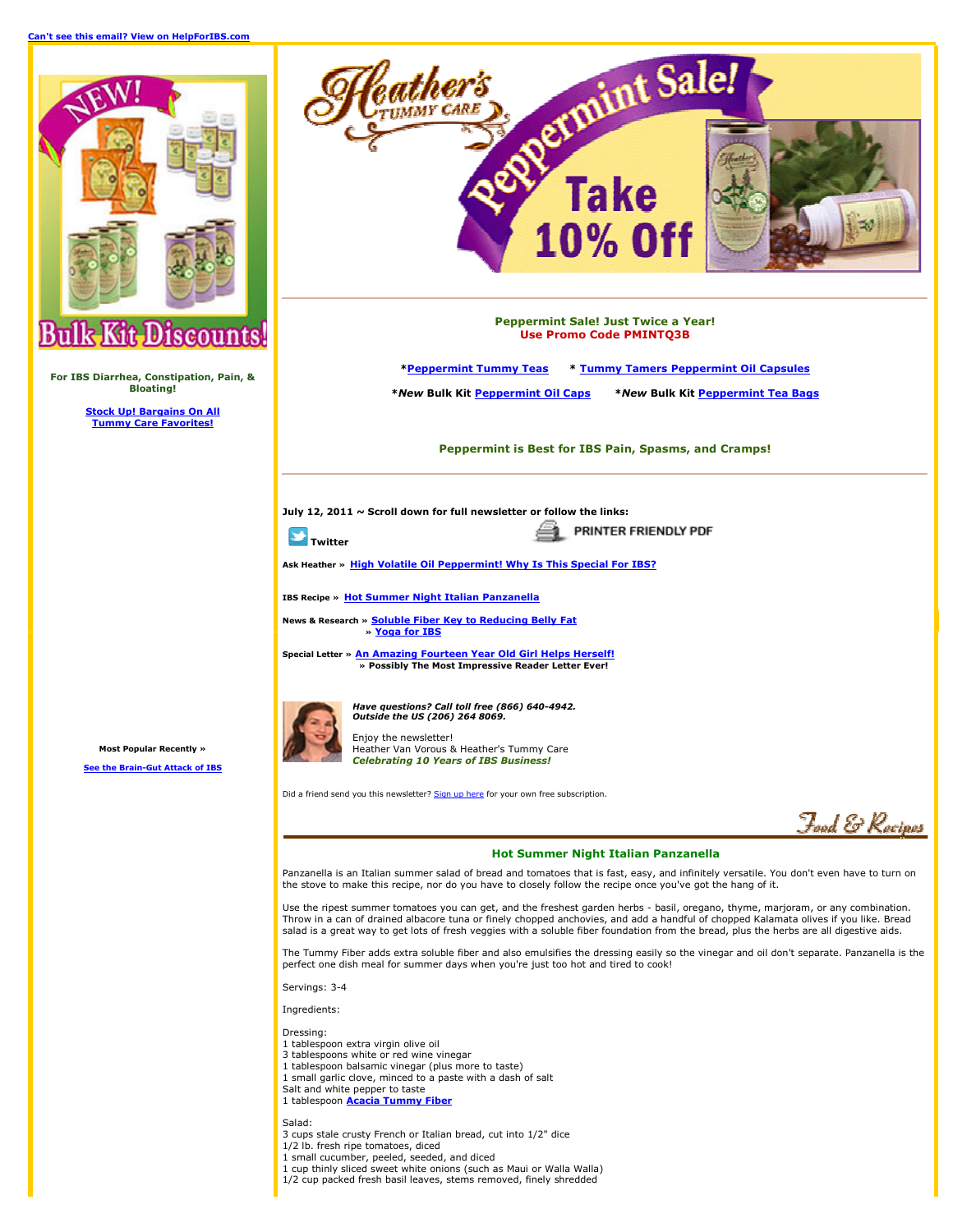Can't see this email? View on HelpForIBS.com



For IBS Diarrhea, Constipation, Pain, & **Bloating!** 

> **Stock Up! Bargains On All Tummy Care Favorites!**

opermint Sale! **Take** 10%0 **Pennermint Sale! Just Twice a Year! Use Promo Code PMINTO3B** \*Peppermint Tummy Teas \* Tummy Tamers Peppermint Oil Capsules \*New Bulk Kit Peppermint Oil Caps \*New Bulk Kit Peppermint Tea Bags

Peppermint is Best for IBS Pain, Spasms, and Cramps!

July 12, 2011  $\sim$  Scroll down for full newsletter or follow the links:

**T**Twitter

PRINTER FRIENDLY PDF ⇔

Ask Heather » High Volatile Oil Peppermint! Why Is This Special For IBS?

**IBS Recipe » Hot Summer Night Italian Panzanella** 

News & Research » Soluble Fiber Key to Reducing Belly Fat » Yoga for IBS

athei

Special Letter » An Amazing Fourteen Year Old Girl Helps Herself! » Possibly The Most Impressive Reader Letter Ever!

**Most Popular Recently »** 

e the Brain-Gut Attack of IBS



Have questions? Call toll free (866) 640-4942. Outside the US (206) 264 8069. Enjoy the newsletter! Heather Van Vorous & Heather's Tummy Care

Celebrating 10 Years of IBS Business!

Did a friend send you this newsletter? Sign up here for your own free subscription.

Fand & Racinar

## **Hot Summer Night Italian Panzanella**

Panzanella is an Italian summer salad of bread and tomatoes that is fast, easy, and infinitely versatile. You don't even have to turn on the stove to make this recipe, nor do you have to closely follow the recipe once you've got the hang of it.

Use the ripest summer tomatoes you can get, and the freshest garden herbs - basil, oregano, thyme, marjoram, or any combination. Throw in a can of drained albacore tuna or finely chopped anchovies, and add a handful of chopped Kalamata olives if you like. Bread salad is a great way to get lots of fresh veggies with a soluble fiber foundation from the bread, plus the herbs are all digestive aids.

The Tummy Fiber adds extra soluble fiber and also emulsifies the dressing easily so the vinegar and oil don't separate. Panzanella is the perfect one dish meal for summer days when you're just too hot and tired to cook!

Servings: 3-4

Ingredients:

Dressing:

- 1 tablespoon extra virgin olive oil
- 3 tablespoons white or red wine vinegar 1 tablespoon balsamic vinegar (plus more to taste)
- 1 small garlic clove, minced to a paste with a dash of salt
- Salt and white pepper to taste
- 1 tablespoon **Acacia Tummy Fiber**

Salad:

- 3 cups stale crusty French or Italian bread, cut into 1/2" dice
- 1/2 lb. fresh ripe tomatoes, diced
- 1 small cucumber, peeled, seeded, and diced
- 1 cup thinly sliced sweet white onions (such as Maui or Walla Walla) 1/2 cup packed fresh basil leaves, stems removed, finely shredded
-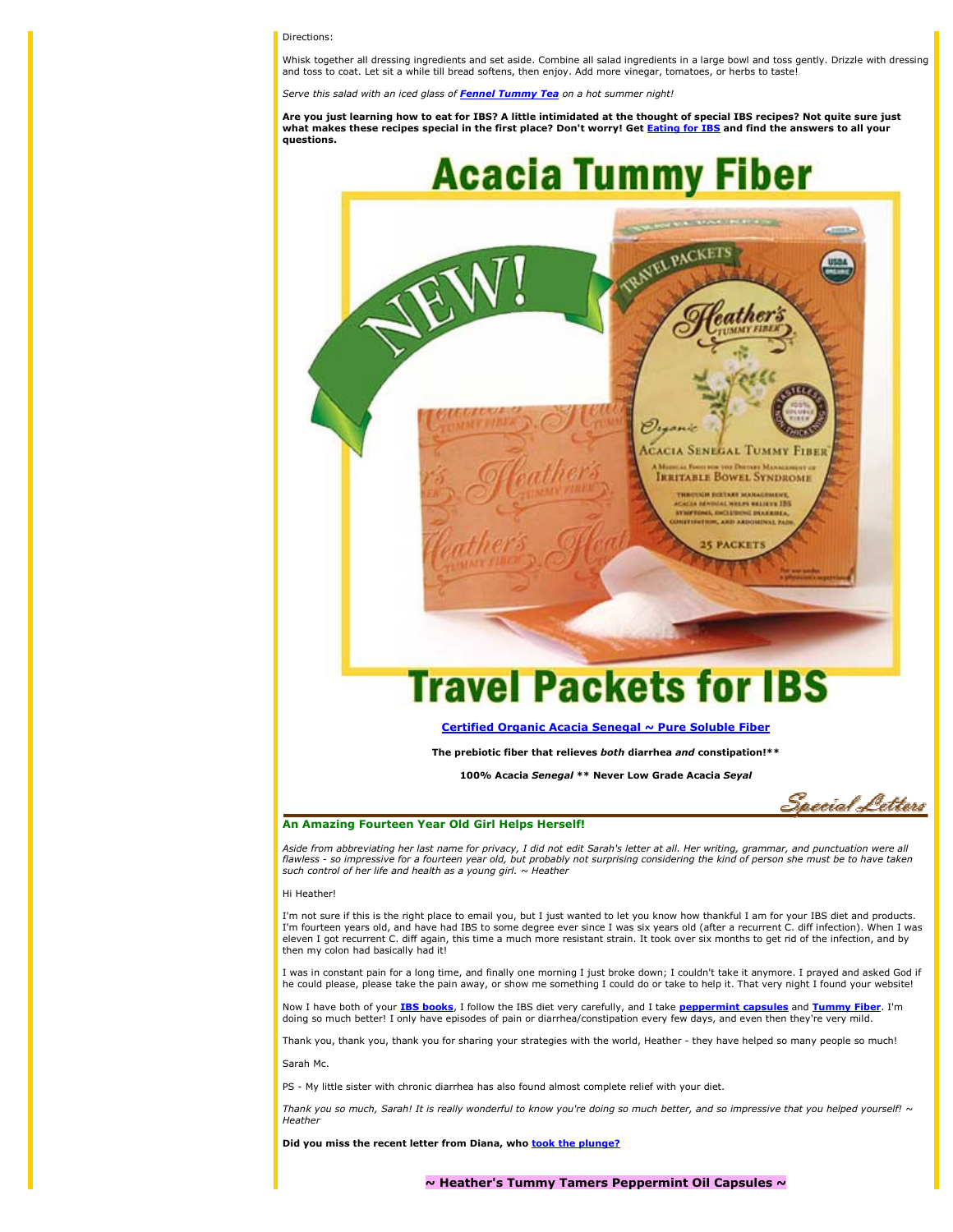#### Directions:

Whisk together all dressing ingredients and set aside. Combine all salad ingredients in a large bowl and toss gently. Drizzle with dressing and toss to coat. Let sit a while till bread softens, then enjoy. Add more vinegar, tomatoes, or herbs to taste!

Serve this salad with an iced glass of **Fennel Tummy Tea** on a hot summer night!

Are vou just learning how to eat for IBS? A little intimidated at the thought of special IBS recipes? Not quite sure just what makes these recipes special in the first place? Don't worry! Get Eating for IBS and find the answers to all your questions.



### Certified Organic Acacia Senegal ~ Pure Soluble Fiber

The prebiotic fiber that relieves both diarrhea and constipation!\*\*

100% Acacia Senegal \*\* Never Low Grade Acacia Seyal

Saecial Letters

#### An Amazing Fourteen Year Old Girl Helps Herself!

Aside from abbreviating her last name for privacy, I did not edit Sarah's letter at all. Her writing, grammar, and punctuation were all flawless - so impressive for a fourteen year old, but probably not surprising considering the kind of person she must be to have taken  $\frac{1}{2}$  such control of her life and health as a young girl.  $\sim$  Heather

#### Hi Heather!

I'm not sure if this is the right place to email you, but I just wanted to let you know how thankful I am for your IBS diet and products. I'm fourteen years old, and have had IBS to some degree ever since I was six years old (after a recurrent C. diff infection). When I was eleven I got recurrent C. diff again, this time a much more resistant strain. It took over six months to get rid of the infection, and by then my colon had basically had it!

I was in constant pain for a long time, and finally one morning I just broke down; I couldn't take it anymore. I prayed and asked God if he could please, please take the pain away, or show me something I could do or take to help it. That very night I found your website!

Now I have both of your IBS books, I follow the IBS diet very carefully, and I take peppermint capsules and Tummy Fiber. I'm doing so much better! I only have episodes of pain or diarrhea/constipation every few days, and even then they're very mild.

Thank you, thank you, thank you for sharing your strategies with the world, Heather - they have helped so many people so much!

Sarah Mc.

PS - My little sister with chronic diarrhea has also found almost complete relief with your diet.

Thank you so much, Sarah! It is really wonderful to know you're doing so much better, and so impressive that you helped yourself! ~ Heather

Did vou miss the recent letter from Diana, who took the plunge?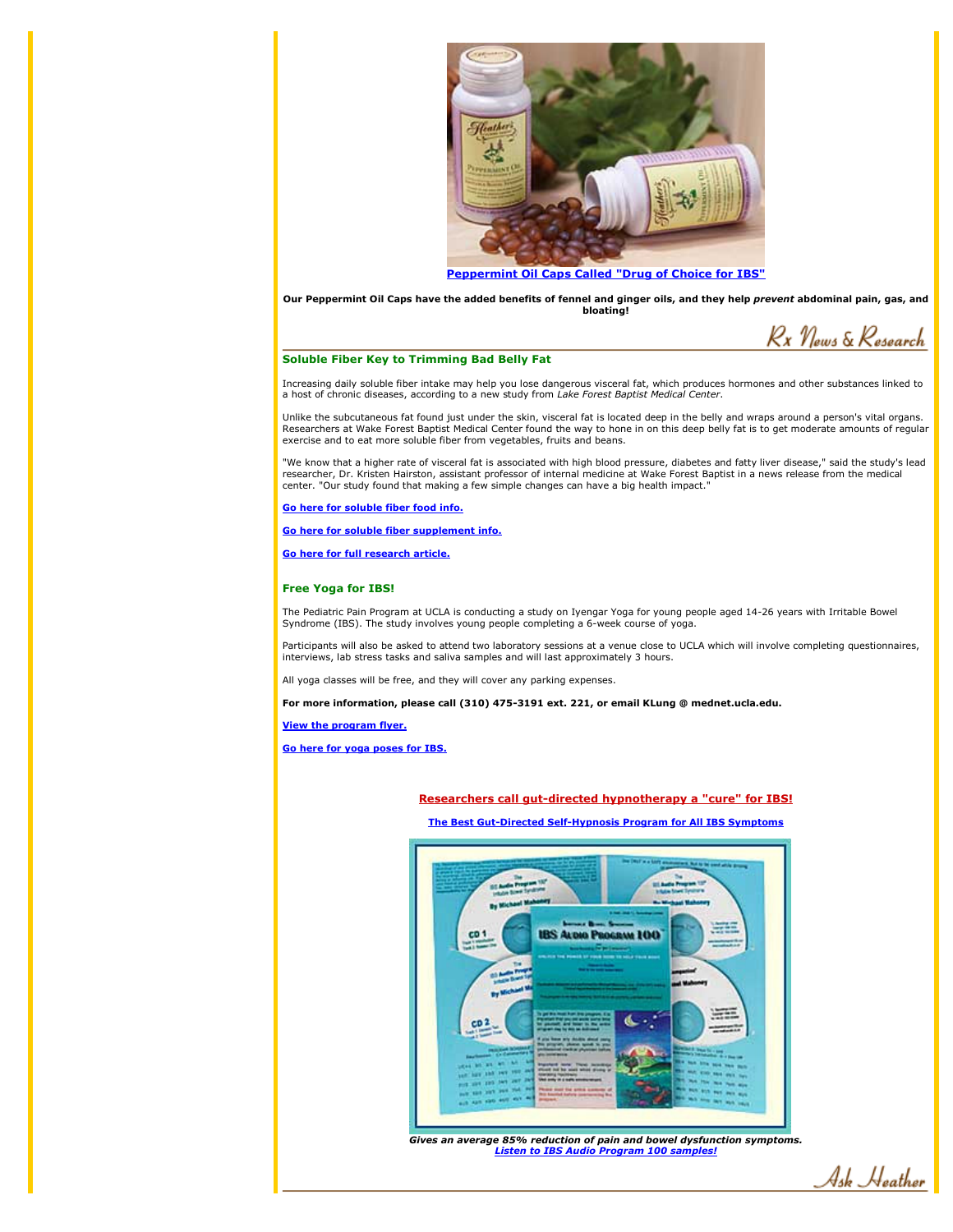

Our Peppermint Oil Caps have the added benefits of fennel and ginger oils, and they help prevent abdominal pain, gas, and bloating!

Rx News & Research

## **Soluble Fiber Key to Trimming Bad Belly Fat**

Increasing daily soluble fiber intake may help you lose dangerous visceral fat, which produces hormones and other substances linked to a host of chronic diseases, according to a new study from Lake Forest Baptist Medical C

Unlike the subcutaneous fat found just under the skin, visceral fat is located deep in the belly and wraps around a person's vital organs. Researchers at Wake Forest Baptist Medical Center found the way to hone in on this deep belly fat is to get moderate amounts of regular exercise and to eat more soluble fiber from vegetables, fruits and beans.

"We know that a higher rate of visceral fat is associated with high blood pressure, diabetes and fatty liver disease," said the study's lead<br>researcher, Dr. Kristen Hairston, assistant professor of internal medicine at Wak center. "Our study found that making a few simple changes can have a big health impact."

Go here for soluble fiber food info.

Go here for soluble fiber supplement info.

Go here for full research article.

## **Free Yoga for IBS!**

The Pediatric Pain Program at UCLA is conducting a study on Iyengar Yoga for young people aged 14-26 years with Irritable Bowel Syndrome (IBS). The study involves young people completing a 6-week course of yoga

Participants will also be asked to attend two laboratory sessions at a venue close to UCLA which will involve completing questionnaires, interviews, lab stress tasks and saliva samples and will last approximately 3 hours.

All yoga classes will be free, and they will cover any parking expenses.

For more information, please call (310) 475-3191 ext. 221, or email KLung @ mednet.ucla.edu.

**View the program flyer.** 

Go here for yoga poses for IBS.

Researchers call gut-directed hypnotherapy a "cure" for IBS!

The Best Gut-Directed Self-Hypnosis Program for All IBS Symptoms



Gives an average 85% reduction of pain and bowel dysfunction symptoms. **Listen to IBS Audio Program 100 samples!** 

Ask Heather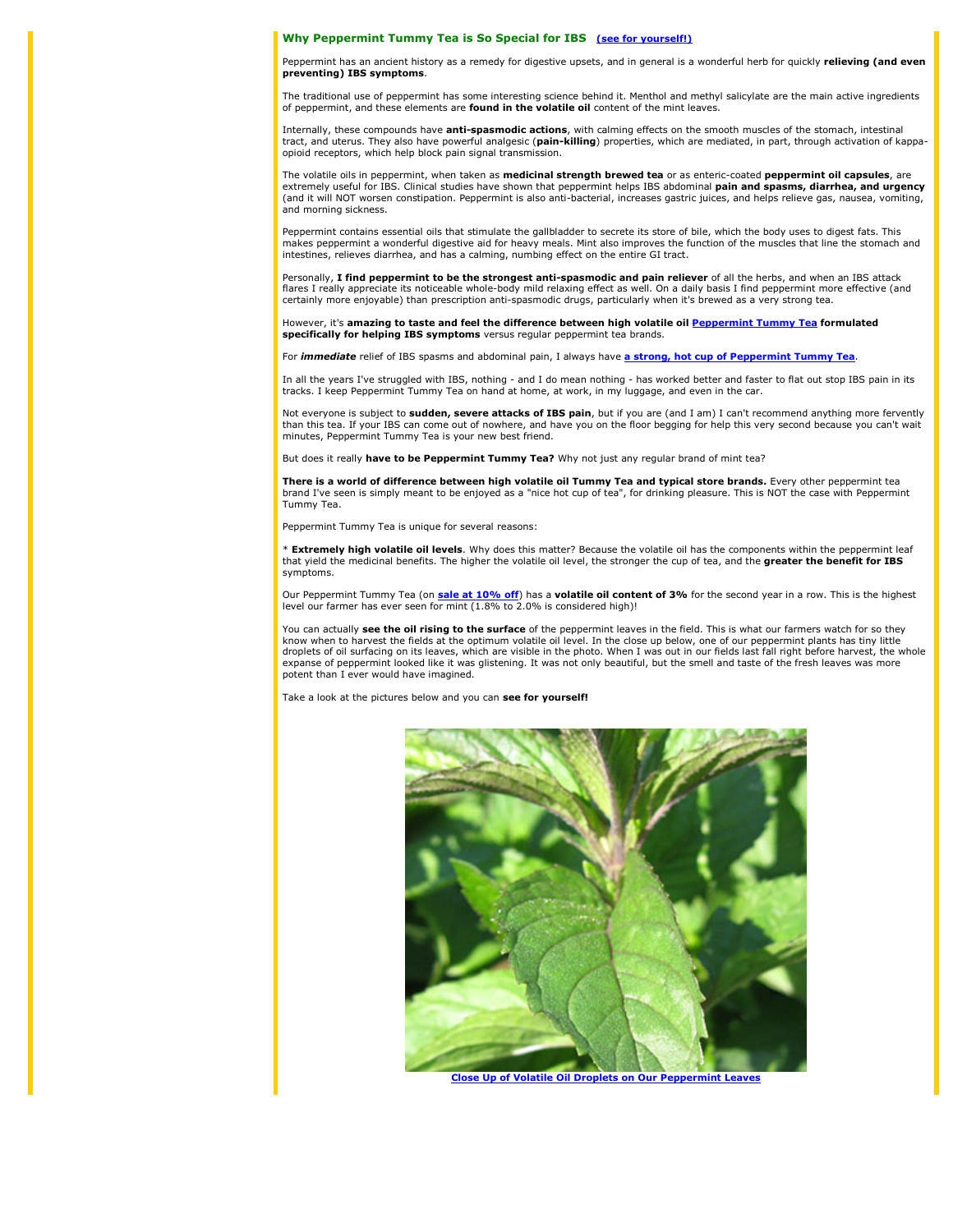#### Why Peppermint Tummy Tea is So Special for IBS (see for yourself!)

Peppermint has an ancient history as a remedy for digestive upsets, and in general is a wonderful herb for quickly relieving (and even preventing) IBS symptoms.

The traditional use of peppermint has some interesting science behind it. Menthol and methyl salicylate are the main active ingredients of peppermint, and these elements are found in the volatile oil content of the mint leaves.

Internally, these compounds have **anti-spasmodic actions**, with calming effects on the smooth muscles of the stomach, intestinal tract, and uterus. They also have powerful analgesic (pain-killing) properties, which are med opioid receptors, which help block pain signal transmission.

The volatile oils in peppermint, when taken as medicinal strength brewed tea or as enteric-coated peppermint oil capsules, are extremely useful for IBS. Clinical studies have shown that peppermint helps IBS abdominal pain and spasms, diarrhea, and urgency (and it will NOT worsen constipation, Peppermint is also anti-bacterial, increases gastric juices, and helps relieve gas, nausea, vomiting, and morning sickness.

Peppermint contains essential oils that stimulate the gallbladder to secrete its store of bile, which the body uses to digest fats. This makes peppermint a wonderful digestive aid for heavy meals. Mint also improves the function of the muscles that line the stomach and intestines, relieves diarrhea, and has a calming, numbing effect on the entire GI tract.

Personally, I find peppermint to be the strongest anti-spasmodic and pain reliever of all the herbs, and when an IBS attack flares I really appreciate its noticeable whole-body mild relaxing effect as well. On a daily basis I find peppermint more effective (and certainly more enjoyable) than prescription anti-spasmodic drugs, particularly when

However, it's amazing to taste and feel the difference between high volatile oil Peppermint Tummy Tea formulated specifically for helping IBS symptoms versus regular peppermint tea brands.

For *immediate* relief of IBS spasms and abdominal pain, I always have a strong, hot cup of Peppermint Tummy Tea

In all the years I've struggled with IBS, nothing - and I do mean nothing - has worked better and faster to flat out stop IBS pain in its tracks. I keep Peppermint Tummy Tea on hand at home, at work, in my luggage, and eve

Not everyone is subject to sudden, severe attacks of IBS pain, but if you are (and I am) I can't recommend anything more fervently than this tea. If your IBS can come out of nowhere, and have you on the floor begging for help this very second because you can't wait minutes, Peppermint Tummy Tea is your new best friend.

But does it really have to be Peppermint Tummy Tea? Why not just any regular brand of mint tea?

There is a world of difference between high volatile oil Tummy Tea and typical store brands. Every other peppermint tea brand I've seen is simply meant to be enjoyed as a "nice hot cup of tea", for drinking pleasure. This is NOT the case with Peppermint Tummy Tea.

Peppermint Tummy Tea is unique for several reasons:

\* Extremely high volatile oil levels. Why does this matter? Because the volatile oil has the components within the peppermint leaf that yield the medicinal benefits. The higher the volatile oil level, the stronger the cup of tea, and the greater the benefit for IBS symptoms.

Our Peppermint Tummy Tea (on sale at 10% off) has a volatile oil content of 3% for the second year in a row. This is the highest level our farmer has ever seen for mint (1.8% to 2.0% is considered high)!

You can actually see the oil rising to the surface of the peppermint leaves in the field. This is what our farmers watch for so they know when to harvest the fields at the optimum volatile oil level. In the close up below, one of our peppermint plants has tiny little droplets of oil surfacing on its leaves, which are visible in the photo. When I was out in our fields last fall right before harvest, the whole expanse of peppermint looked like it was glistening. It was not only beautiful, but the smell and taste of the fresh leaves was more potent than I ever would have imagined.

Take a look at the pictures below and you can see for yourself!



**Close Up of Volatile Oil Droplets on Our Peppermint Leaves**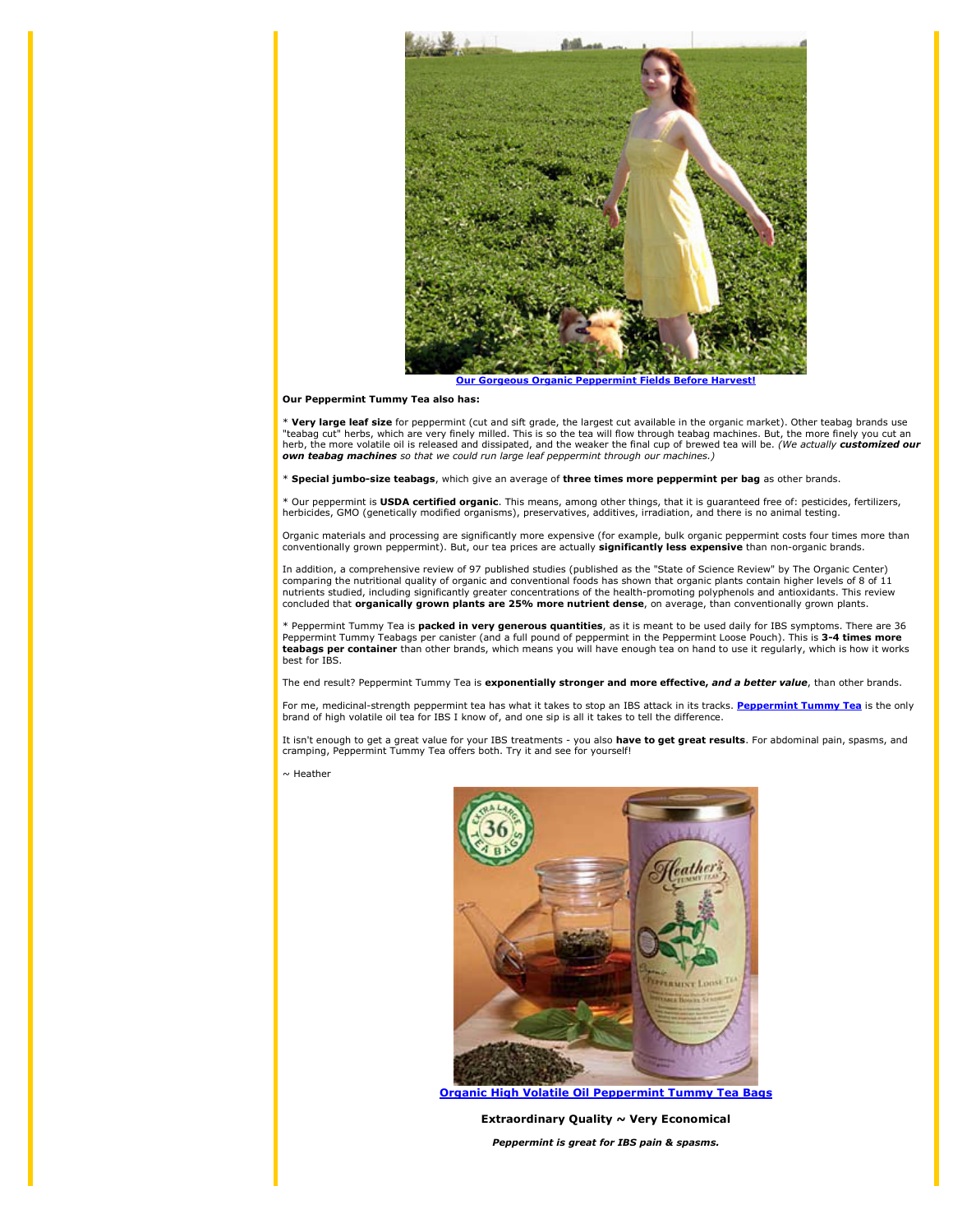

**Our Gorgeous Organic Peppermint Fields Before Harve** 

#### Our Peppermint Tummy Tea also has:

\* Very large leaf size for peppermint (cut and sift grade, the largest cut available in the organic market). Other teabag brands use "teabag cut" herbs, which are very finely milled. This is so the tea will flow through teabag machines. But, the more finely you cut an<br>herb, the more volatile oil is released and dissipated, and the weaker the final cup o own teabag machines so that we could run large leaf peppermint through our machines.)

\* Special jumbo-size teabags, which give an average of three times more peppermint per bag as other brands.

\* Our peppermint is USDA certified organic. This means, among other things, that it is guaranteed free of: pesticides, fertilizers, herbicides, GMO (genetically modified organisms), preservatives, additives, irradiation, and there is no animal testing.

Organic materials and processing are significantly more expensive (for example, bulk organic peppermint costs four times more than conventionally grown peppermint). But, our tea prices are actually significantly less expensive than non-organic brands.

In addition, a comprehensive review of 97 published studies (published as the "State of Science Review" by The Organic Center) comparing the nutritional quality of organic and conventional foods has shown that organic plants contain higher levels of 8 of 11 nutrients studied, including significantly greater concentrations of the health-promoting polyphenols and antioxidants. This review concluded that organically grown plants are 25% more nutrient dense, on average, than conventionally grown plants.

\* Peppermint Tummy Tea is **packed in very generous quantities**, as it is meant to be used daily for IBS symptoms. There are 36<br>Peppermint Tummy Teabags per canister (and a full pound of peppermint in the Peppermint Loose P best for IBS.

The end result? Peppermint Tummy Tea is exponentially stronger and more effective, and a better value, than other brands.

For me, medicinal-strength peppermint tea has what it takes to stop an IBS attack in its tracks. Peppermint Tummy Tea is the only brand of high volatile oil tea for IBS I know of, and one sip is all it takes to tell the difference.

It isn't enough to get a great value for your IBS treatments - you also have to get great results. For abdominal pain, spasms, and cramping, Peppermint Tummy Tea offers both. Try it and see for yourself!

 $\sim$  Heather



**Organic High Volatile Oil Peppermint Tummy Tea Bags** 

Extraordinary Quality ~ Very Economical Peppermint is great for IBS pain & spasms.